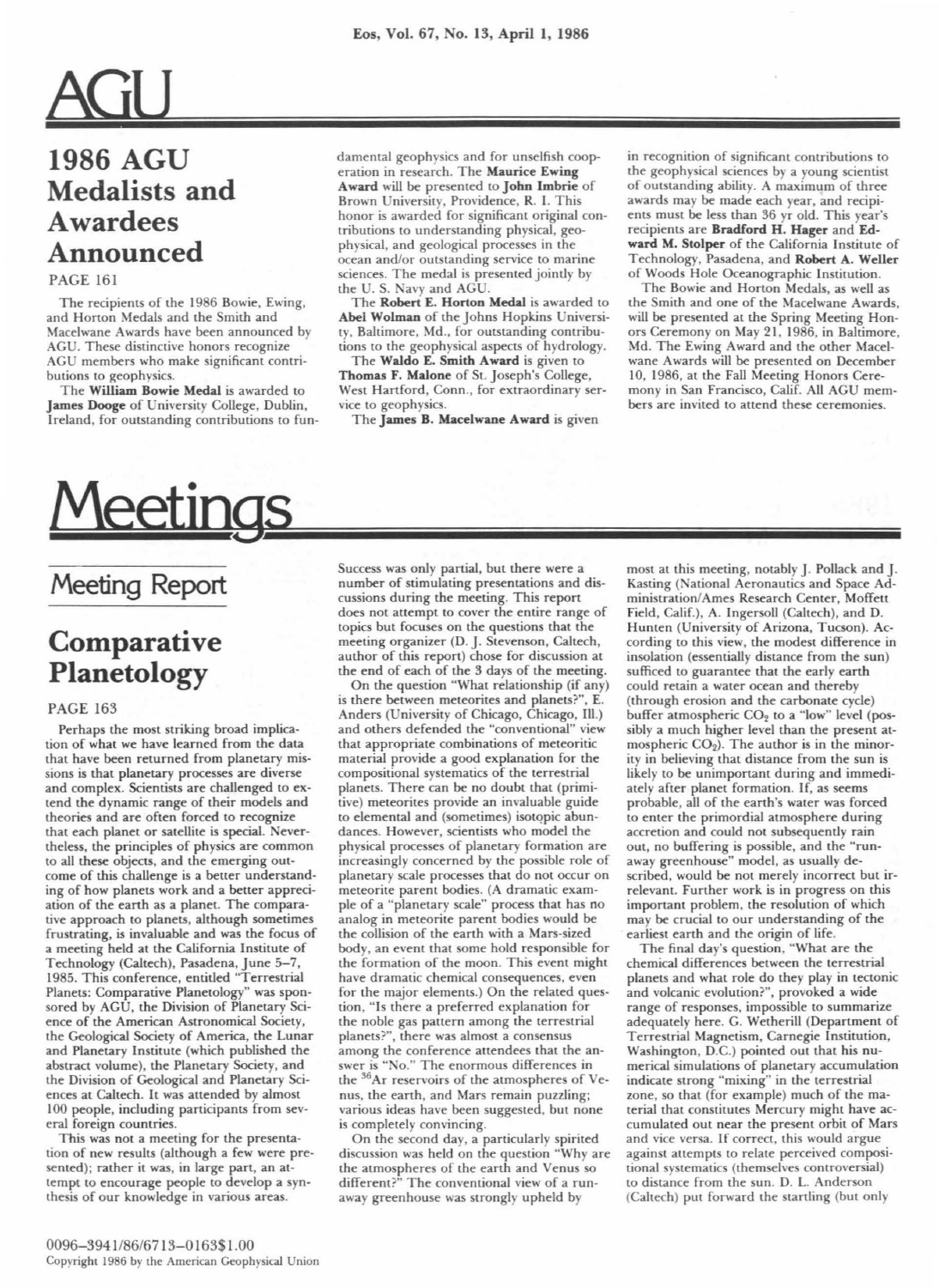# AGIJ **1986 AGU Medalists and Awardees**

## **Announced**

## PAGE 161

The recipients of the 1986 Bowie, Ewing, and Horton Medals and the Smith and Macelwane Awards have been announced by AGU. These distinctive honors recognize AGU members who make significant contributions to geophysics.

The William Bowie Medal is awarded to James Dooge of University College, Dublin, Ireland, for outstanding contributions to fundamental geophysics and for unselfish cooperation in research. The Maurice Ewing Award will be presented to John Imbrie of Brown University, Providence, R. I. This honor is awarded for significant original contributions to understanding physical, geophysical, and geological processes in the ocean and/or outstanding service to marine sciences. The medal is presented jointly by the U. S. Navy and AGU.

The Robert E. Horton Medal is awarded to Abel Wolman of the Johns Hopkins University, Baltimore, Md., for outstanding contributions to the geophysical aspects of hydrology.

The Waldo E. Smith Award is given to Thomas F. Malone of St. Joseph's College, West Hartford, Conn., for extraordinary service to geophysics.

The James B. Macelwane Award is given

in recognition of significant contributions to the geophysical sciences by a young scientist of outstanding ability. A maximum of three awards may be made each year, and recipients must be less than 36 yr old. This year's recipients are Bradford H. Hager and Edward M. Stolper of the California Institute of Technology, Pasadena, and Robert A. Weller of Woods Hole Oceanographic Institution.

The Bowie and Horton Medals, as well as the Smith and one of the Macelwane Awards, will be presented at the Spring Meeting Honors Ceremony on May 21, 1986, in Baltimore, Md. The Ewing Award and the other Macelwane Awards will be presented on December 10, 1986, at the Fall Meeting Honors Ceremony in San Francisco, Calif. All AGU members are invited to attend these ceremonies.

# Meetings

## **Meeting Report**

## **Comparative Planetology**

### PAGE 163

Perhaps the most striking broad implication of what we have learned from the data that have been returned from planetary missions is that planetary processes are diverse and complex. Scientists are challenged to extend the dynamic range of their models and theories and are often forced to recognize that each planet or satellite is special. Nevertheless, the principles of physics are common to all these objects, and the emerging outcome of this challenge is a better understanding of how planets work and a better appreciation of the earth as a planet. The comparative approach to planets, although sometimes frustrating, is invaluable and was the focus of a meeting held at the California Institute of Technology (Caltech), Pasadena, June 5-7, 1985. This conference, entitled "Terrestrial Planets: Comparative Planetology" was sponsored by AGU, the Division of Planetary Science of the American Astronomical Society, the Geological Society of America, the Lunar and Planetary Institute (which published the abstract volume), the Planetary Society, and the Division of Geological and Planetary Sciences at Caltech. It was attended by almost 100 people, including participants from several foreign countries.

This was not a meeting for the presentation of new results (although a few were presented); rather it was, in large part, an attempt to encourage people to develop a synthesis of our knowledge in various areas.

Success was only partial, but there were a number of stimulating presentations and discussions during the meeting. This report does not attempt to cover the entire range of topics but focuses on the questions that the meeting organizer (D. J. Stevenson, Caltech, author of this report) chose for discussion at the end of each of the 3 days of the meeting.

On the question "What relationship (if any) is there between meteorites and planets?", E. Anders (University of Chicago, Chicago, Ill.) and others defended the "conventional" view that appropriate combinations of meteoritic material provide a good explanation for the com positional systematics of the terrestrial planets. There can be no doubt that (primitive) meteorites provide an invaluable guide to elemental and (sometimes) isotopic abundances. However, scientists who model the physical processes of planetary formation are increasingly concerned by the possible role of planetary scale processes that do not occur on meteorite parent bodies. (A dramatic example of a "planetary scale" process that has no analog in meteorite parent bodies would be the collision of the earth with a Mars-sized body, an event that some hold responsible for the formation of the moon. This event might have dramatic chemical consequences, even for the major elements.) On the related question, " Is there a preferred explanation for the noble gas pattern among the terrestrial planets?", there was almost a consensus among the conference attendees that the answer is "No." The enormous differences in the  $^{36}$ Ar reservoirs of the atmospheres of Venus, the earth, and Mars remain puzzling; various ideas have been suggested, but none is completely convincing.

On the second day, a particularly spirited discussion was held on the question "Why are the atmospheres of the earth and Venus so different?" The conventional view of a runaway greenhouse was strongly upheld by

most at this meeting, notably J. Pollack and J. Kasting (National Aeronautics and Space Administration/Ames Research Center, Moffett Field, Calif.), A. Ingersoll (Caltech), and D. Hunten (University of Arizona, Tucson). According to this view, the modest difference in insolation (essentially distance from the sun) sufficed to guarantee that the early earth could retain a water ocean and thereby (through erosion and the carbonate cycle) buffer atmospheric  $CO<sub>2</sub>$  to a "low" level (possibly a much higher level than the present atmospheric  $CO<sub>2</sub>$ ). The author is in the minority in believing that distance from the sun is likely to be unimportant during and immediately after planet formation. If, as seems probable, all of the earth's water was forced to enter the primordial atmosphere during accretion and could not subsequently rain out, no buffering is possible, and the "runaway greenhouse" model, as usually described, would be not merely incorrect but irrelevant. Further work is in progress on this important problem, the resolution of which may be crucial to our understanding of the earliest earth and the origin of life.

The final day's question, "What are the chemical differences between the terrestrial planets and what role do they play in tectonic and volcanic evolution?", provoked a wide range of responses, impossible to summarize adequately here. G. Wetherill (Department of Terrestrial Magnetism, Carnegie Institution, Washington, D.C.) pointed out that his numerical simulations of planetary accumulation indicate strong "mixing" in the terrestrial zone, so that (for example) much of the material that constitutes Mercury might have accumulated out near the present orbit of Mars and vice versa. If correct, this would argue against attempts to relate perceived compositional systematics (themselves controversial) to distance from the sun. D. L. Anderson (Caltech) put forward the startling (but only